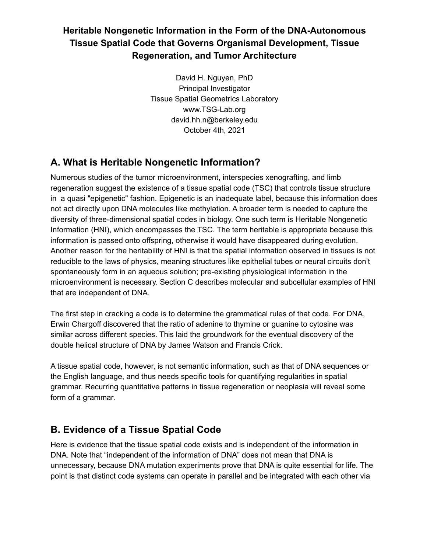# **Heritable Nongenetic Information in the Form of the DNA-Autonomous Tissue Spatial Code that Governs Organismal Development, Tissue Regeneration, and Tumor Architecture**

David H. Nguyen, PhD Principal Investigator Tissue Spatial Geometrics Laboratory www.TSG-Lab.org david.hh.n@berkeley.edu October 4th, 2021

# **A. What is Heritable Nongenetic Information?**

Numerous studies of the tumor microenvironment, interspecies xenografting, and limb regeneration suggest the existence of a tissue spatial code (TSC) that controls tissue structure in a quasi "epigenetic" fashion. Epigenetic is an inadequate label, because this information does not act directly upon DNA molecules like methylation. A broader term is needed to capture the diversity of three-dimensional spatial codes in biology. One such term is Heritable Nongenetic Information (HNI), which encompasses the TSC. The term heritable is appropriate because this information is passed onto offspring, otherwise it would have disappeared during evolution. Another reason for the heritability of HNI is that the spatial information observed in tissues is not reducible to the laws of physics, meaning structures like epithelial tubes or neural circuits don't spontaneously form in an aqueous solution; pre-existing physiological information in the microenvironment is necessary. Section C describes molecular and subcellular examples of HNI that are independent of DNA.

The first step in cracking a code is to determine the grammatical rules of that code. For DNA, Erwin Chargoff discovered that the ratio of adenine to thymine or guanine to cytosine was similar across different species. This laid the groundwork for the eventual discovery of the double helical structure of DNA by James Watson and Francis Crick.

A tissue spatial code, however, is not semantic information, such as that of DNA sequences or the English language, and thus needs specific tools for quantifying regularities in spatial grammar. Recurring quantitative patterns in tissue regeneration or neoplasia will reveal some form of a grammar.

# **B. Evidence of a Tissue Spatial Code**

Here is evidence that the tissue spatial code exists and is independent of the information in DNA. Note that "independent of the information of DNA" does not mean that DNA is unnecessary, because DNA mutation experiments prove that DNA is quite essential for life. The point is that distinct code systems can operate in parallel and be integrated with each other via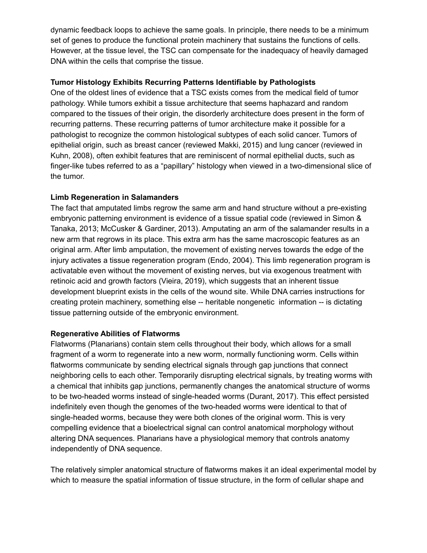dynamic feedback loops to achieve the same goals. In principle, there needs to be a minimum set of genes to produce the functional protein machinery that sustains the functions of cells. However, at the tissue level, the TSC can compensate for the inadequacy of heavily damaged DNA within the cells that comprise the tissue.

## **Tumor Histology Exhibits Recurring Patterns Identifiable by Pathologists**

One of the oldest lines of evidence that a TSC exists comes from the medical field of tumor pathology. While tumors exhibit a tissue architecture that seems haphazard and random compared to the tissues of their origin, the disorderly architecture does present in the form of recurring patterns. These recurring patterns of tumor architecture make it possible for a pathologist to recognize the common histological subtypes of each solid cancer. Tumors of epithelial origin, such as breast cancer (reviewed Makki, 2015) and lung cancer (reviewed in Kuhn, 2008), often exhibit features that are reminiscent of normal epithelial ducts, such as finger-like tubes referred to as a "papillary" histology when viewed in a two-dimensional slice of the tumor.

## **Limb Regeneration in Salamanders**

The fact that amputated limbs regrow the same arm and hand structure without a pre-existing embryonic patterning environment is evidence of a tissue spatial code (reviewed in Simon & Tanaka, 2013; McCusker & Gardiner, 2013). Amputating an arm of the salamander results in a new arm that regrows in its place. This extra arm has the same macroscopic features as an original arm. After limb amputation, the movement of existing nerves towards the edge of the injury activates a tissue regeneration program (Endo, 2004). This limb regeneration program is activatable even without the movement of existing nerves, but via exogenous treatment with retinoic acid and growth factors (Vieira, 2019), which suggests that an inherent tissue development blueprint exists in the cells of the wound site. While DNA carries instructions for creating protein machinery, something else -- heritable nongenetic information -- is dictating tissue patterning outside of the embryonic environment.

#### **Regenerative Abilities of Flatworms**

Flatworms (Planarians) contain stem cells throughout their body, which allows for a small fragment of a worm to regenerate into a new worm, normally functioning worm. Cells within flatworms communicate by sending electrical signals through gap junctions that connect neighboring cells to each other. Temporarily disrupting electrical signals, by treating worms with a chemical that inhibits gap junctions, permanently changes the anatomical structure of worms to be two-headed worms instead of single-headed worms (Durant, 2017). This effect persisted indefinitely even though the genomes of the two-headed worms were identical to that of single-headed worms, because they were both clones of the original worm. This is very compelling evidence that a bioelectrical signal can control anatomical morphology without altering DNA sequences. Planarians have a physiological memory that controls anatomy independently of DNA sequence.

The relatively simpler anatomical structure of flatworms makes it an ideal experimental model by which to measure the spatial information of tissue structure, in the form of cellular shape and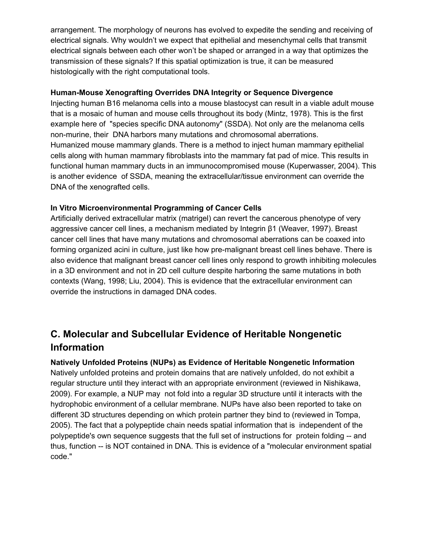arrangement. The morphology of neurons has evolved to expedite the sending and receiving of electrical signals. Why wouldn't we expect that epithelial and mesenchymal cells that transmit electrical signals between each other won't be shaped or arranged in a way that optimizes the transmission of these signals? If this spatial optimization is true, it can be measured histologically with the right computational tools.

#### **Human-Mouse Xenografting Overrides DNA Integrity or Sequence Divergence**

Injecting human B16 melanoma cells into a mouse blastocyst can result in a viable adult mouse that is a mosaic of human and mouse cells throughout its body (Mintz, 1978). This is the first example here of "species specific DNA autonomy" (SSDA). Not only are the melanoma cells non-murine, their DNA harbors many mutations and chromosomal aberrations. Humanized mouse mammary glands. There is a method to inject human mammary epithelial cells along with human mammary fibroblasts into the mammary fat pad of mice. This results in functional human mammary ducts in an immunocompromised mouse (Kuperwasser, 2004). This is another evidence of SSDA, meaning the extracellular/tissue environment can override the DNA of the xenografted cells.

## **In Vitro Microenvironmental Programming of Cancer Cells**

Artificially derived extracellular matrix (matrigel) can revert the cancerous phenotype of very aggressive cancer cell lines, a mechanism mediated by Integrin β1 (Weaver, 1997). Breast cancer cell lines that have many mutations and chromosomal aberrations can be coaxed into forming organized acini in culture, just like how pre-malignant breast cell lines behave. There is also evidence that malignant breast cancer cell lines only respond to growth inhibiting molecules in a 3D environment and not in 2D cell culture despite harboring the same mutations in both contexts (Wang, 1998; Liu, 2004). This is evidence that the extracellular environment can override the instructions in damaged DNA codes.

# **C. Molecular and Subcellular Evidence of Heritable Nongenetic Information**

## **Natively Unfolded Proteins (NUPs) as Evidence of Heritable Nongenetic Information**

Natively unfolded proteins and protein domains that are natively unfolded, do not exhibit a regular structure until they interact with an appropriate environment (reviewed in Nishikawa, 2009). For example, a NUP may not fold into a regular 3D structure until it interacts with the hydrophobic environment of a cellular membrane. NUPs have also been reported to take on different 3D structures depending on which protein partner they bind to (reviewed in Tompa, 2005). The fact that a polypeptide chain needs spatial information that is independent of the polypeptide's own sequence suggests that the full set of instructions for protein folding -- and thus, function -- is NOT contained in DNA. This is evidence of a "molecular environment spatial code."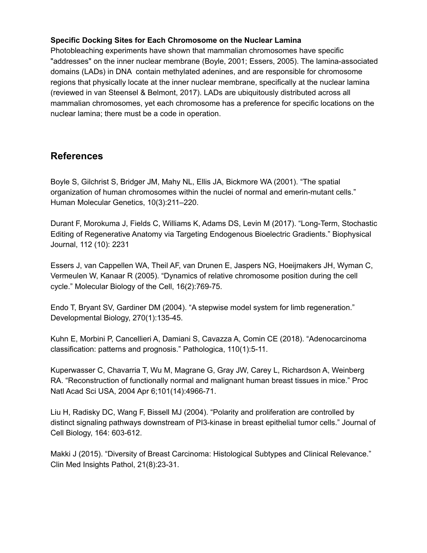## **Specific Docking Sites for Each Chromosome on the Nuclear Lamina**

Photobleaching experiments have shown that mammalian chromosomes have specific "addresses" on the inner nuclear membrane (Boyle, 2001; Essers, 2005). The lamina-associated domains (LADs) in DNA contain methylated adenines, and are responsible for chromosome regions that physically locate at the inner nuclear membrane, specifically at the nuclear lamina (reviewed in van Steensel & Belmont, 2017). LADs are ubiquitously distributed across all mammalian chromosomes, yet each chromosome has a preference for specific locations on the nuclear lamina; there must be a code in operation.

# **References**

Boyle S, Gilchrist S, Bridger JM, Mahy NL, Ellis JA, Bickmore WA (2001). "The spatial organization of human chromosomes within the nuclei of normal and emerin-mutant cells." Human Molecular Genetics, 10(3):211–220.

Durant F, Morokuma J, Fields C, Williams K, Adams DS, Levin M (2017). "Long-Term, Stochastic Editing of Regenerative Anatomy via Targeting Endogenous Bioelectric Gradients." Biophysical Journal, 112 (10): 2231

Essers J, van Cappellen WA, Theil AF, van Drunen E, Jaspers NG, Hoeijmakers JH, Wyman C, Vermeulen W, Kanaar R (2005). "Dynamics of relative chromosome position during the cell cycle." Molecular Biology of the Cell, 16(2):769-75.

Endo T, Bryant SV, Gardiner DM (2004). "A stepwise model system for limb regeneration." Developmental Biology, 270(1):135-45.

Kuhn E, Morbini P, Cancellieri A, Damiani S, Cavazza A, Comin CE (2018). "Adenocarcinoma classification: patterns and prognosis." Pathologica, 110(1):5-11.

Kuperwasser C, Chavarria T, Wu M, Magrane G, Gray JW, Carey L, Richardson A, Weinberg RA. "Reconstruction of functionally normal and malignant human breast tissues in mice." Proc Natl Acad Sci USA, 2004 Apr 6;101(14):4966-71.

Liu H, Radisky DC, Wang F, Bissell MJ (2004). "Polarity and proliferation are controlled by distinct signaling pathways downstream of PI3-kinase in breast epithelial tumor cells." Journal of Cell Biology, 164: 603-612.

Makki J (2015). "Diversity of Breast Carcinoma: Histological Subtypes and Clinical Relevance." Clin Med Insights Pathol, 21(8):23-31.